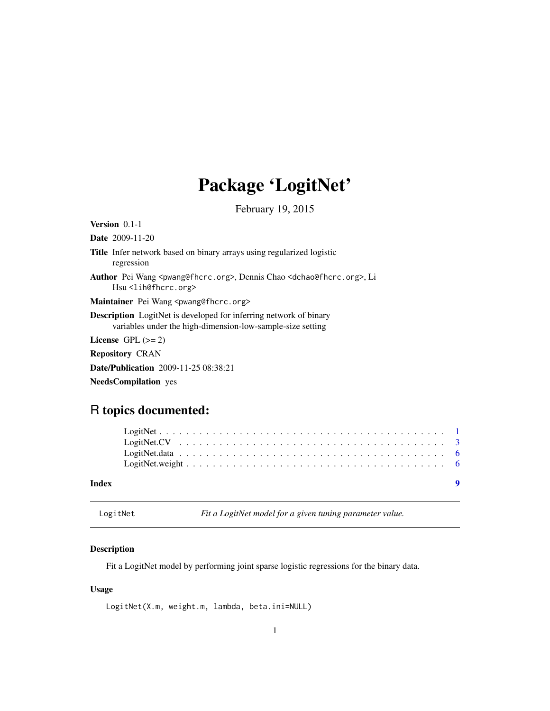## <span id="page-0-0"></span>Package 'LogitNet'

February 19, 2015

| <b>Version</b> $0.1-1$                                                                                                                                 |
|--------------------------------------------------------------------------------------------------------------------------------------------------------|
| <b>Date</b> 2009-11-20                                                                                                                                 |
| <b>Title</b> Infer network based on binary arrays using regularized logistic<br>regression                                                             |
| <b>Author</b> Pei Wang <pwang@fhcrc.org>, Dennis Chao <dchao@fhcrc.org>, Li<br/>Hsu<lih@fhcrc.org></lih@fhcrc.org></dchao@fhcrc.org></pwang@fhcrc.org> |
| Maintainer Pei Wang <pwang@fhcrc.org></pwang@fhcrc.org>                                                                                                |
| <b>Description</b> LogitNet is developed for inferring network of binary<br>variables under the high-dimension-low-sample-size setting                 |
| License $GPL (= 2)$                                                                                                                                    |
| <b>Repository CRAN</b>                                                                                                                                 |
| Date/Publication 2009-11-25 08:38:21                                                                                                                   |
| <b>NeedsCompilation</b> yes                                                                                                                            |

### R topics documented:

| Index |  |  |  |  |  |  |  |  |  |  |  |  |  |  |  |
|-------|--|--|--|--|--|--|--|--|--|--|--|--|--|--|--|

LogitNet *Fit a LogitNet model for a given tuning parameter value.*

### Description

Fit a LogitNet model by performing joint sparse logistic regressions for the binary data.

#### Usage

LogitNet(X.m, weight.m, lambda, beta.ini=NULL)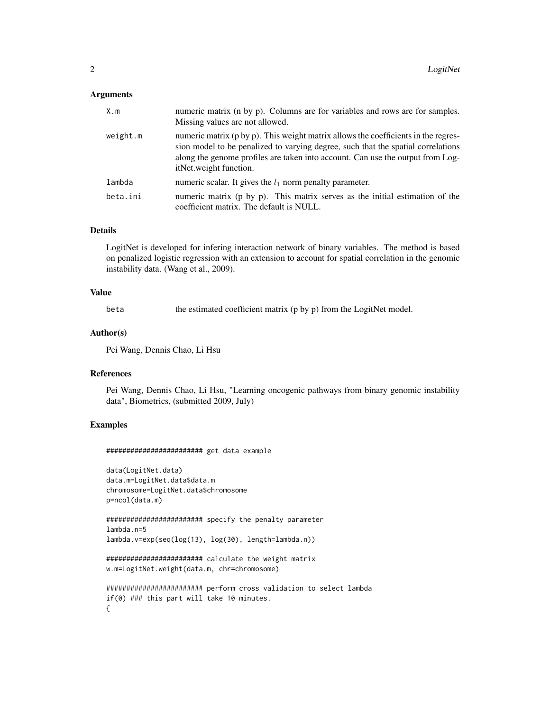#### Arguments

| X.m      | numeric matrix (n by p). Columns are for variables and rows are for samples.<br>Missing values are not allowed.                                                                                                                                                                    |
|----------|------------------------------------------------------------------------------------------------------------------------------------------------------------------------------------------------------------------------------------------------------------------------------------|
| weight.m | numeric matrix (p by p). This weight matrix allows the coefficients in the regres-<br>sion model to be penalized to varying degree, such that the spatial correlations<br>along the genome profiles are taken into account. Can use the output from Log-<br>itNet.weight function. |
| lambda   | numeric scalar. It gives the $l_1$ norm penalty parameter.                                                                                                                                                                                                                         |
| beta.ini | numeric matrix (p by p). This matrix serves as the initial estimation of the<br>coefficient matrix. The default is NULL.                                                                                                                                                           |

#### Details

LogitNet is developed for infering interaction network of binary variables. The method is based on penalized logistic regression with an extension to account for spatial correlation in the genomic instability data. (Wang et al., 2009).

#### Value

beta the estimated coefficient matrix (p by p) from the LogitNet model.

#### Author(s)

Pei Wang, Dennis Chao, Li Hsu

#### References

Pei Wang, Dennis Chao, Li Hsu, "Learning oncogenic pathways from binary genomic instability data", Biometrics, (submitted 2009, July)

#### Examples

```
######################## get data example
```

```
data(LogitNet.data)
data.m=LogitNet.data$data.m
chromosome=LogitNet.data$chromosome
p=ncol(data.m)
```

```
######################## specify the penalty parameter
lambda.n=5
lambda.v=exp(seq(log(13), log(30), length=lambda.n))
```

```
######################## calculate the weight matrix
w.m=LogitNet.weight(data.m, chr=chromosome)
```

```
######################## perform cross validation to select lambda
if(0) ### this part will take 10 minutes.
{
```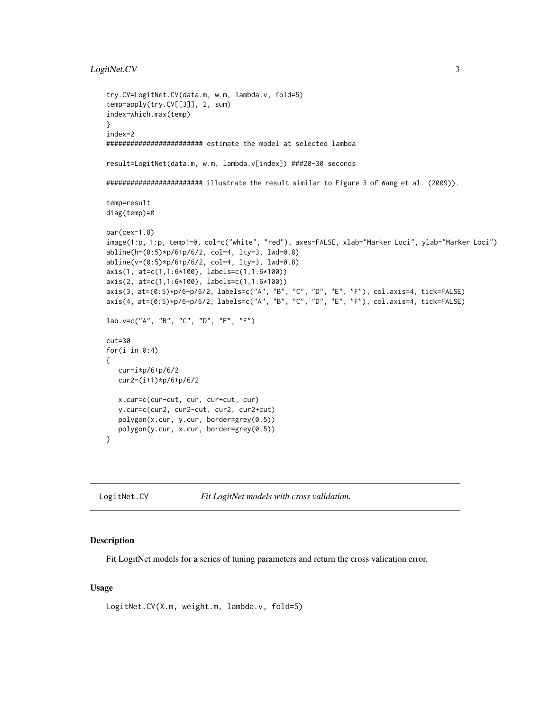#### <span id="page-2-0"></span>LogitNet.CV 3

```
try.CV=LogitNet.CV(data.m, w.m, lambda.v, fold=5)
temp=apply(try.CV[[3]], 2, sum)
index=which.max(temp)
}
index=2
######################## estimate the model at selected lambda
result=LogitNet(data.m, w.m, lambda.v[index]) ###20-30 seconds
######################## illustrate the result similar to Figure 3 of Wang et al. (2009)).
temp=result
diag(temp)=0
par(cex=1.8)
image(1:p, 1:p, temp!=0, col=c("white", "red"), axes=FALSE, xlab="Marker Loci", ylab="Marker Loci")
abline(h=(0:5)*p/6+p/6/2, col=4, lty=3, lwd=0.8)
abline(v=(0:5)*p/6+p/6/2, col=4, lty=3, lwd=0.8)
axis(1, at=c(1,1:6*100), labels=c(1,1:6*100))
axis(2, at=c(1,1:6*100), labels=c(1,1:6*100))
axis(3, at=(0:5)*p/6+p/6/2, labels=c("A", "B", "C", "D", "E", "F"), col.axis=4, tick=FALSE)
axis(4, at=(0:5)*p/6+p/6/2, labels=c("A", "B", "C", "D", "E", "F"), col.axis=4, tick=FALSE)
lab.v=c("A", "B", "C", "D", "E", "F")
cut=30
for(i in 0:4)
{
  cur=i*p/6+p/6/2
  cur2=(i+1)*p/6+p/6/2
  x.cur=c(cur-cut, cur, cur+cut, cur)
  y.cur=c(cur2, cur2-cut, cur2, cur2+cut)
  polygon(x.cur, y.cur, border=grey(0.5))
  polygon(y.cur, x.cur, border=grey(0.5))
}
```
LogitNet.CV *Fit LogitNet models with cross validation.*

#### Description

Fit LogitNet models for a series of tuning parameters and return the cross valication error.

#### Usage

```
LogitNet.CV(X.m, weight.m, lambda.v, fold=5)
```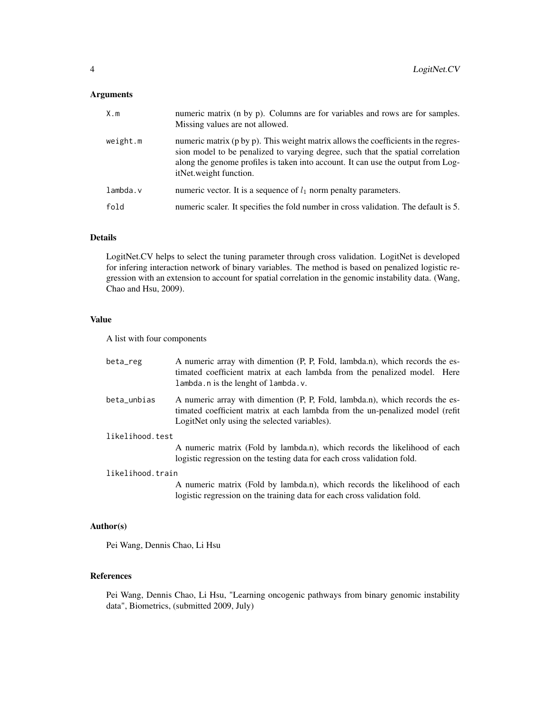#### Arguments

| X.m      | numeric matrix (n by p). Columns are for variables and rows are for samples.<br>Missing values are not allowed.                                                                                                                                                                     |
|----------|-------------------------------------------------------------------------------------------------------------------------------------------------------------------------------------------------------------------------------------------------------------------------------------|
| weight.m | numeric matrix (p by p). This weight matrix allows the coefficients in the regres-<br>sion model to be penalized to varying degree, such that the spatial correlation<br>along the genome profiles is taken into account. It can use the output from Log-<br>itNet.weight function. |
| lmbda.v  | numeric vector. It is a sequence of $l_1$ norm penalty parameters.                                                                                                                                                                                                                  |
| fold     | numeric scaler. It specifies the fold number in cross validation. The default is 5.                                                                                                                                                                                                 |

#### Details

LogitNet.CV helps to select the tuning parameter through cross validation. LogitNet is developed for infering interaction network of binary variables. The method is based on penalized logistic regression with an extension to account for spatial correlation in the genomic instability data. (Wang, Chao and Hsu, 2009).

#### Value

A list with four components

| beta_reg         | A numeric array with dimention (P, P, Fold, lambda.n), which records the es-<br>timated coefficient matrix at each lambda from the penalized model. Here<br>lambda.n is the lenght of lambda.v.              |
|------------------|--------------------------------------------------------------------------------------------------------------------------------------------------------------------------------------------------------------|
| beta_unbias      | A numeric array with dimention (P, P, Fold, lambda.n), which records the es-<br>timated coefficient matrix at each lambda from the un-penalized model (refit<br>LogitNet only using the selected variables). |
| likelihood.test  |                                                                                                                                                                                                              |
|                  | A numeric matrix (Fold by lambda.n), which records the likelihood of each<br>logistic regression on the testing data for each cross validation fold.                                                         |
| likelihood.train |                                                                                                                                                                                                              |
|                  |                                                                                                                                                                                                              |

A numeric matrix (Fold by lambda.n), which records the likelihood of each logistic regression on the training data for each cross validation fold.

#### Author(s)

Pei Wang, Dennis Chao, Li Hsu

#### References

Pei Wang, Dennis Chao, Li Hsu, "Learning oncogenic pathways from binary genomic instability data", Biometrics, (submitted 2009, July)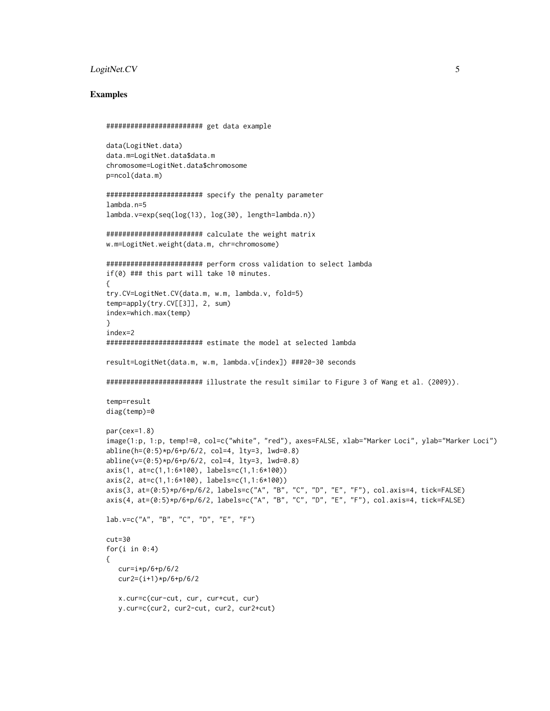#### LogitNet.CV 5

#### Examples

```
######################## get data example
data(LogitNet.data)
data.m=LogitNet.data$data.m
chromosome=LogitNet.data$chromosome
p=ncol(data.m)
######################## specify the penalty parameter
lambda.n=5
lambda.v=exp(seq(log(13), log(30), length=lambda.n))
######################## calculate the weight matrix
w.m=LogitNet.weight(data.m, chr=chromosome)
######################## perform cross validation to select lambda
if(0) ### this part will take 10 minutes.
{
try.CV=LogitNet.CV(data.m, w.m, lambda.v, fold=5)
temp=apply(try.CV[[3]], 2, sum)
index=which.max(temp)
}
index=2
######################## estimate the model at selected lambda
result=LogitNet(data.m, w.m, lambda.v[index]) ###20-30 seconds
######################## illustrate the result similar to Figure 3 of Wang et al. (2009)).
temp=result
diag(temp)=0
par(cex=1.8)
image(1:p, 1:p, temp!=0, col=c("white", "red"), axes=FALSE, xlab="Marker Loci", ylab="Marker Loci")
abline(h=(0:5)*p/6+p/6/2, col=4, lty=3, lwd=0.8)
abline(v=(0:5)*p/6+p/6/2, col=4, lty=3, lwd=0.8)
axis(1, at=c(1,1:6*100), labels=c(1,1:6*100))
axis(2, at=c(1,1:6*100), labels=c(1,1:6*100))
axis(3, at=(0:5)*p/6+p/6/2, labels=c("A", "B", "C", "D", "E", "F"), col.axis=4, tick=FALSE)
axis(4, at=(0:5)*p/6+p/6/2, labels=c("A", "B", "C", "D", "E", "F"), col.axis=4, tick=FALSE)
lab.v=c("A", "B", "C", "D", "E", "F")
cut=30
for(i in 0:4)
{
   cur=i*p/6+p/6/2cur2=(i+1)*p/6+p/6/2
   x.cur=c(cur-cut, cur, cur+cut, cur)
   y.cur=c(cur2, cur2-cut, cur2, cur2+cut)
```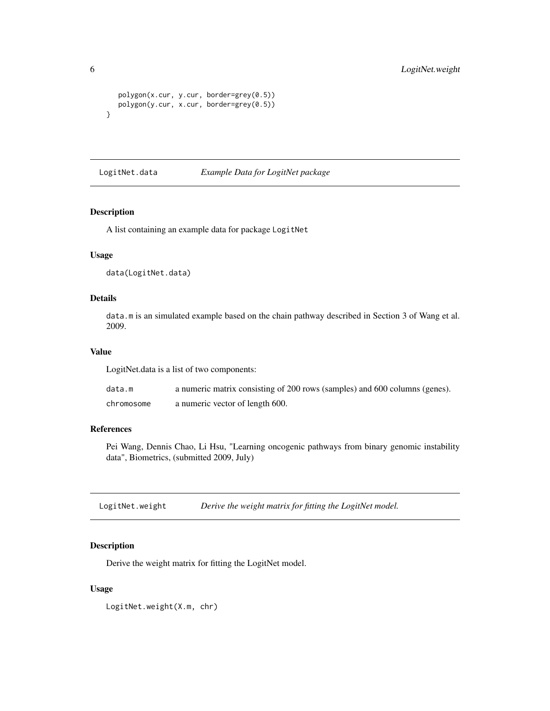```
polygon(x.cur, y.cur, border=grey(0.5))
  polygon(y.cur, x.cur, border=grey(0.5))
}
```
LogitNet.data *Example Data for LogitNet package*

#### Description

A list containing an example data for package LogitNet

#### Usage

data(LogitNet.data)

#### Details

data.m is an simulated example based on the chain pathway described in Section 3 of Wang et al. 2009.

#### Value

LogitNet.data is a list of two components:

| data.m     | a numeric matrix consisting of 200 rows (samples) and 600 columns (genes). |
|------------|----------------------------------------------------------------------------|
| chromosome | a numeric vector of length 600.                                            |

#### References

Pei Wang, Dennis Chao, Li Hsu, "Learning oncogenic pathways from binary genomic instability data", Biometrics, (submitted 2009, July)

LogitNet.weight *Derive the weight matrix for fitting the LogitNet model.*

#### Description

Derive the weight matrix for fitting the LogitNet model.

#### Usage

```
LogitNet.weight(X.m, chr)
```
<span id="page-5-0"></span>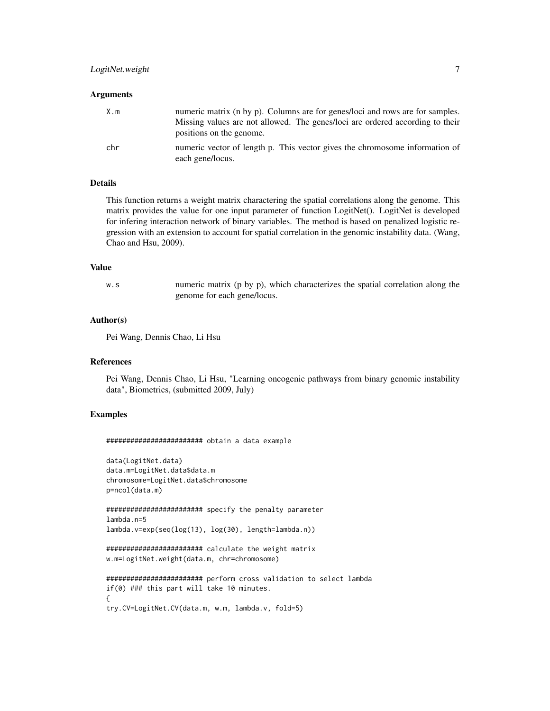#### LogitNet.weight 7

#### **Arguments**

| X.m | numeric matrix (n by p). Columns are for genes/loci and rows are for samples.<br>Missing values are not allowed. The genes/loci are ordered according to their<br>positions on the genome. |
|-----|--------------------------------------------------------------------------------------------------------------------------------------------------------------------------------------------|
| chr | numeric vector of length p. This vector gives the chromosome information of<br>each gene/locus.                                                                                            |

#### Details

This function returns a weight matrix charactering the spatial correlations along the genome. This matrix provides the value for one input parameter of function LogitNet(). LogitNet is developed for infering interaction network of binary variables. The method is based on penalized logistic regression with an extension to account for spatial correlation in the genomic instability data. (Wang, Chao and Hsu, 2009).

#### Value

w.s numeric matrix (p by p), which characterizes the spatial correlation along the genome for each gene/locus.

#### Author(s)

Pei Wang, Dennis Chao, Li Hsu

#### References

Pei Wang, Dennis Chao, Li Hsu, "Learning oncogenic pathways from binary genomic instability data", Biometrics, (submitted 2009, July)

#### Examples

######################## obtain a data example

```
data(LogitNet.data)
data.m=LogitNet.data$data.m
chromosome=LogitNet.data$chromosome
p=ncol(data.m)
```
######################## specify the penalty parameter lambda.n=5 lambda.v=exp(seq(log(13), log(30), length=lambda.n))

```
######################## calculate the weight matrix
w.m=LogitNet.weight(data.m, chr=chromosome)
```

```
######################## perform cross validation to select lambda
if(0) ### this part will take 10 minutes.
{
try.CV=LogitNet.CV(data.m, w.m, lambda.v, fold=5)
```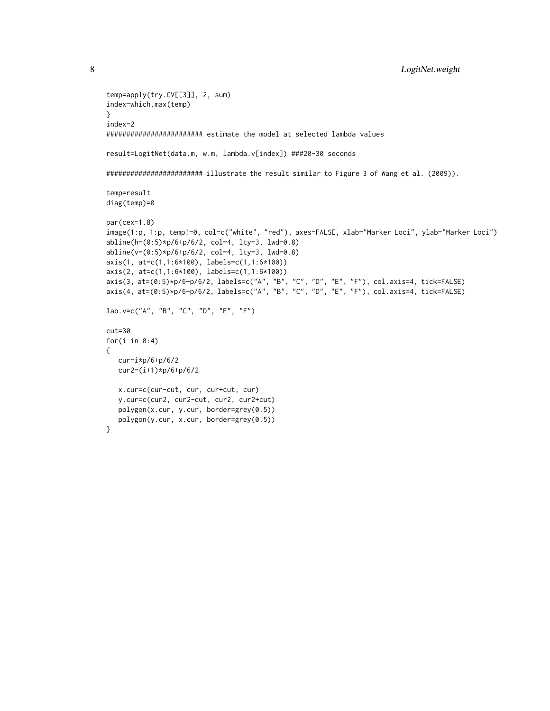```
temp=apply(try.CV[[3]], 2, sum)
index=which.max(temp)
}
index=2
######################## estimate the model at selected lambda values
result=LogitNet(data.m, w.m, lambda.v[index]) ###20-30 seconds
######################## illustrate the result similar to Figure 3 of Wang et al. (2009)).
temp=result
diag(temp)=0
par(cex=1.8)
image(1:p, 1:p, temp!=0, col=c("white", "red"), axes=FALSE, xlab="Marker Loci", ylab="Marker Loci")
abline(h=(0:5)*p/6+p/6/2, col=4, lty=3, lwd=0.8)
abline(v=(0:5)*p/6+p/6/2, col=4, lty=3, lwd=0.8)
axis(1, at=c(1,1:6*100), labels=c(1,1:6*100))
axis(2, at=c(1,1:6*100), labels=c(1,1:6*100))
axis(3, at=(0:5)*p/6+p/6/2, labels=c("A", "B", "C", "D", "E", "F"), col.axis=4, tick=FALSE)
axis(4, at=(0:5)*p/6+p/6/2, labels=c("A", "B", "C", "D", "E", "F"), col.axis=4, tick=FALSE)
lab.v=c("A", "B", "C", "D", "E", "F")
cut=30
for(i in 0:4){
  cur=i*p/6+p/6/2cur2=(i+1)*p/6+p/6/2
  x.cur=c(cur-cut, cur, cur+cut, cur)
   y.cur=c(cur2, cur2-cut, cur2, cur2+cut)
   polygon(x.cur, y.cur, border=grey(0.5))
  polygon(y.cur, x.cur, border=grey(0.5))
}
```